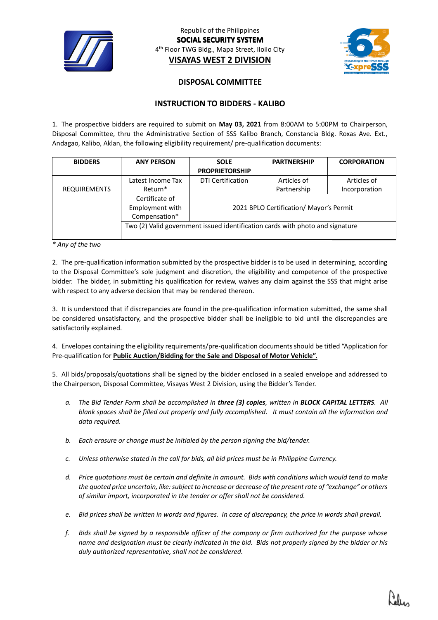

Republic of the Philippines **SOCIAL SECURITY SYSTEM** 4 th Floor TWG Bldg., Mapa Street, Iloilo City **VISAYAS WEST 2 DIVISION**



## **DISPOSAL COMMITTEE**

## **INSTRUCTION TO BIDDERS - KALIBO**

1. The prospective bidders are required to submit on **May 03, 2021** from 8:00AM to 5:00PM to Chairperson, Disposal Committee, thru the Administrative Section of SSS Kalibo Branch, Constancia Bldg. Roxas Ave. Ext., Andagao, Kalibo, Aklan, the following eligibility requirement/ pre-qualification documents:

| <b>BIDDERS</b>      | <b>ANY PERSON</b>                                                             | <b>SOLE</b>                             | <b>PARTNERSHIP</b> | <b>CORPORATION</b> |
|---------------------|-------------------------------------------------------------------------------|-----------------------------------------|--------------------|--------------------|
|                     |                                                                               | <b>PROPRIETORSHIP</b>                   |                    |                    |
|                     | Latest Income Tax                                                             | <b>DTI Certification</b>                | Articles of        | Articles of        |
| <b>REQUIREMENTS</b> | Return*                                                                       |                                         | Partnership        | Incorporation      |
|                     | Certificate of                                                                |                                         |                    |                    |
|                     | Employment with                                                               | 2021 BPLO Certification/ Mayor's Permit |                    |                    |
|                     | Compensation*                                                                 |                                         |                    |                    |
|                     | Two (2) Valid government issued identification cards with photo and signature |                                         |                    |                    |
|                     |                                                                               |                                         |                    |                    |

*\* Any of the two*

2. The pre-qualification information submitted by the prospective bidder is to be used in determining, according to the Disposal Committee's sole judgment and discretion, the eligibility and competence of the prospective bidder. The bidder, in submitting his qualification for review, waives any claim against the SSS that might arise with respect to any adverse decision that may be rendered thereon.

3. It is understood that if discrepancies are found in the pre-qualification information submitted, the same shall be considered unsatisfactory, and the prospective bidder shall be ineligible to bid until the discrepancies are satisfactorily explained.

4. Envelopes containing the eligibility requirements/pre-qualification documents should be titled "Application for Pre-qualification for **Public Auction/Bidding for the Sale and Disposal of Motor Vehicle".**

5. All bids/proposals/quotations shall be signed by the bidder enclosed in a sealed envelope and addressed to the Chairperson, Disposal Committee, Visayas West 2 Division, using the Bidder's Tender.

- *a. The Bid Tender Form shall be accomplished in three (3) copies, written in BLOCK CAPITAL LETTERS. All blank spaces shall be filled out properly and fully accomplished. It must contain all the information and data required.*
- *b. Each erasure or change must be initialed by the person signing the bid/tender.*
- *c. Unless otherwise stated in the call for bids, all bid prices must be in Philippine Currency.*
- *d. Price quotations must be certain and definite in amount. Bids with conditions which would tend to make the quoted price uncertain, like: subject to increase or decrease of the present rate of "exchange" or others of similar import, incorporated in the tender or offer shall not be considered.*
- *e. Bid prices shall be written in words and figures. In case of discrepancy, the price in words shall prevail.*
- *f. Bids shall be signed by a responsible officer of the company or firm authorized for the purpose whose name and designation must be clearly indicated in the bid. Bids not properly signed by the bidder or his duly authorized representative, shall not be considered.*